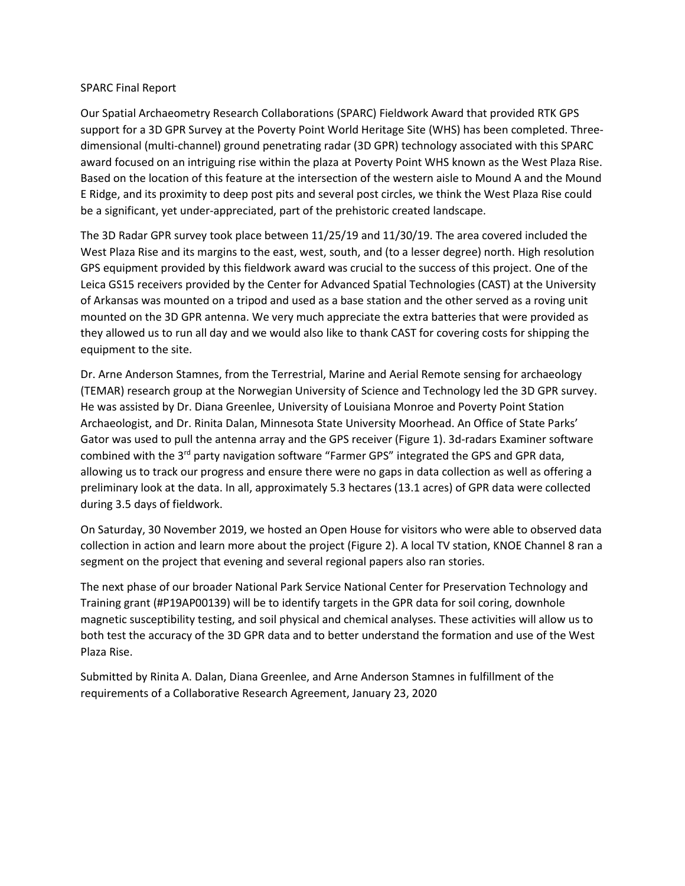## SPARC Final Report

Our Spatial Archaeometry Research Collaborations (SPARC) Fieldwork Award that provided RTK GPS support for a 3D GPR Survey at the Poverty Point World Heritage Site (WHS) has been completed. Threedimensional (multi-channel) ground penetrating radar (3D GPR) technology associated with this SPARC award focused on an intriguing rise within the plaza at Poverty Point WHS known as the West Plaza Rise. Based on the location of this feature at the intersection of the western aisle to Mound A and the Mound E Ridge, and its proximity to deep post pits and several post circles, we think the West Plaza Rise could be a significant, yet under-appreciated, part of the prehistoric created landscape.

The 3D Radar GPR survey took place between 11/25/19 and 11/30/19. The area covered included the West Plaza Rise and its margins to the east, west, south, and (to a lesser degree) north. High resolution GPS equipment provided by this fieldwork award was crucial to the success of this project. One of the Leica GS15 receivers provided by the Center for Advanced Spatial Technologies (CAST) at the University of Arkansas was mounted on a tripod and used as a base station and the other served as a roving unit mounted on the 3D GPR antenna. We very much appreciate the extra batteries that were provided as they allowed us to run all day and we would also like to thank CAST for covering costs for shipping the equipment to the site.

Dr. Arne Anderson Stamnes, from the Terrestrial, Marine and Aerial Remote sensing for archaeology (TEMAR) research group at the Norwegian University of Science and Technology led the 3D GPR survey. He was assisted by Dr. Diana Greenlee, University of Louisiana Monroe and Poverty Point Station Archaeologist, and Dr. Rinita Dalan, Minnesota State University Moorhead. An Office of State Parks' Gator was used to pull the antenna array and the GPS receiver (Figure 1). 3d-radars Examiner software combined with the 3<sup>rd</sup> party navigation software "Farmer GPS" integrated the GPS and GPR data, allowing us to track our progress and ensure there were no gaps in data collection as well as offering a preliminary look at the data. In all, approximately 5.3 hectares (13.1 acres) of GPR data were collected during 3.5 days of fieldwork.

On Saturday, 30 November 2019, we hosted an Open House for visitors who were able to observed data collection in action and learn more about the project (Figure 2). A local TV station, KNOE Channel 8 ran a segment on the project that evening and several regional papers also ran stories.

The next phase of our broader National Park Service National Center for Preservation Technology and Training grant (#P19AP00139) will be to identify targets in the GPR data for soil coring, downhole magnetic susceptibility testing, and soil physical and chemical analyses. These activities will allow us to both test the accuracy of the 3D GPR data and to better understand the formation and use of the West Plaza Rise.

Submitted by Rinita A. Dalan, Diana Greenlee, and Arne Anderson Stamnes in fulfillment of the requirements of a Collaborative Research Agreement, January 23, 2020